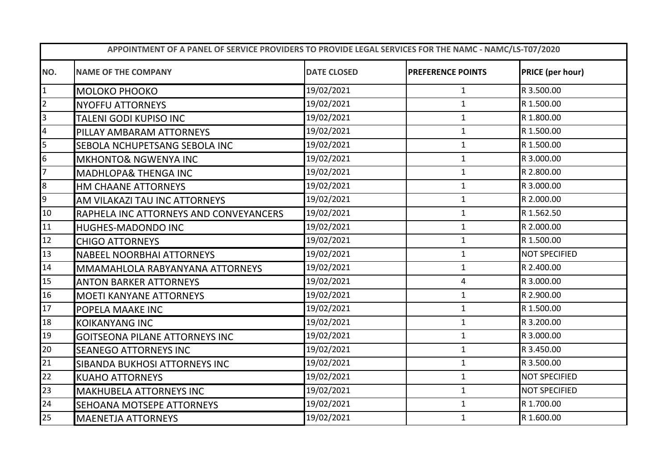| APPOINTMENT OF A PANEL OF SERVICE PROVIDERS TO PROVIDE LEGAL SERVICES FOR THE NAMC - NAMC/LS-T07/2020 |                                        |                    |                          |                         |  |  |
|-------------------------------------------------------------------------------------------------------|----------------------------------------|--------------------|--------------------------|-------------------------|--|--|
| NO.                                                                                                   | <b>NAME OF THE COMPANY</b>             | <b>DATE CLOSED</b> | <b>PREFERENCE POINTS</b> | <b>PRICE (per hour)</b> |  |  |
| $\mathbf{1}$                                                                                          | MOLOKO PHOOKO                          | 19/02/2021         | $\mathbf{1}$             | R 3.500.00              |  |  |
| $\overline{2}$                                                                                        | <b>NYOFFU ATTORNEYS</b>                | 19/02/2021         | $\mathbf{1}$             | R 1.500.00              |  |  |
| $\overline{3}$                                                                                        | TALENI GODI KUPISO INC                 | 19/02/2021         | $\mathbf{1}$             | R 1.800.00              |  |  |
| $\overline{\mathbf{4}}$                                                                               | PILLAY AMBARAM ATTORNEYS               | 19/02/2021         | $\mathbf{1}$             | R 1.500.00              |  |  |
| 5                                                                                                     | SEBOLA NCHUPETSANG SEBOLA INC          | 19/02/2021         | $\mathbf{1}$             | R 1.500.00              |  |  |
| $6\overline{6}$                                                                                       | <b>MKHONTO&amp; NGWENYA INC</b>        | 19/02/2021         | $\mathbf{1}$             | R 3.000.00              |  |  |
| 7                                                                                                     | <b>MADHLOPA&amp; THENGA INC</b>        | 19/02/2021         | $\mathbf{1}$             | R 2.800.00              |  |  |
| 8                                                                                                     | HM CHAANE ATTORNEYS                    | 19/02/2021         | $\mathbf{1}$             | R 3.000.00              |  |  |
| 9                                                                                                     | AM VILAKAZI TAU INC ATTORNEYS          | 19/02/2021         | $\mathbf{1}$             | R 2.000.00              |  |  |
| 10                                                                                                    | RAPHELA INC ATTORNEYS AND CONVEYANCERS | 19/02/2021         | $\mathbf{1}$             | R 1.562.50              |  |  |
| 11                                                                                                    | <b>HUGHES-MADONDO INC</b>              | 19/02/2021         | $\mathbf{1}$             | R 2.000.00              |  |  |
| 12                                                                                                    | <b>CHIGO ATTORNEYS</b>                 | 19/02/2021         | $\mathbf{1}$             | R 1.500.00              |  |  |
| 13                                                                                                    | <b>NABEEL NOORBHAI ATTORNEYS</b>       | 19/02/2021         | $\mathbf{1}$             | <b>NOT SPECIFIED</b>    |  |  |
| 14                                                                                                    | MMAMAHLOLA RABYANYANA ATTORNEYS        | 19/02/2021         | $\mathbf{1}$             | R 2.400.00              |  |  |
| 15                                                                                                    | <b>ANTON BARKER ATTORNEYS</b>          | 19/02/2021         | 4                        | R 3.000.00              |  |  |
| 16                                                                                                    | <b>MOETI KANYANE ATTORNEYS</b>         | 19/02/2021         | $\mathbf{1}$             | R 2.900.00              |  |  |
| 17                                                                                                    | POPELA MAAKE INC                       | 19/02/2021         | $\mathbf{1}$             | R 1.500.00              |  |  |
| 18                                                                                                    | <b>KOIKANYANG INC</b>                  | 19/02/2021         | $\mathbf{1}$             | R 3.200.00              |  |  |
| 19                                                                                                    | <b>GOITSEONA PILANE ATTORNEYS INC</b>  | 19/02/2021         | $\mathbf{1}$             | R 3.000.00              |  |  |
| 20                                                                                                    | <b>SEANEGO ATTORNEYS INC</b>           | 19/02/2021         | $\mathbf{1}$             | R 3.450.00              |  |  |
| 21                                                                                                    | SIBANDA BUKHOSI ATTORNEYS INC          | 19/02/2021         | $\mathbf{1}$             | R 3.500.00              |  |  |
| 22                                                                                                    | <b>KUAHO ATTORNEYS</b>                 | 19/02/2021         | $\mathbf{1}$             | <b>NOT SPECIFIED</b>    |  |  |
| 23                                                                                                    | <b>MAKHUBELA ATTORNEYS INC</b>         | 19/02/2021         | $\mathbf{1}$             | <b>NOT SPECIFIED</b>    |  |  |
| 24                                                                                                    | SEHOANA MOTSEPE ATTORNEYS              | 19/02/2021         | $\mathbf{1}$             | R 1.700.00              |  |  |
| 25                                                                                                    | <b>MAENETJA ATTORNEYS</b>              | 19/02/2021         | $\mathbf{1}$             | R 1.600.00              |  |  |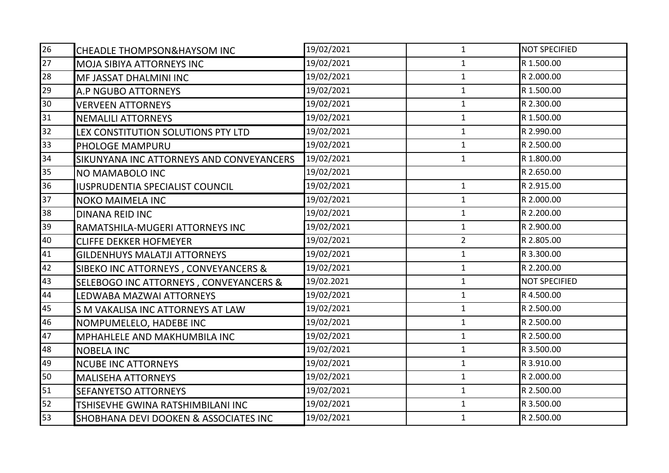| 26 | <b>CHEADLE THOMPSON&amp;HAYSOM INC</b>   | 19/02/2021 | $\mathbf{1}$   | <b>NOT SPECIFIED</b> |
|----|------------------------------------------|------------|----------------|----------------------|
| 27 | <b>MOJA SIBIYA ATTORNEYS INC</b>         | 19/02/2021 | $\mathbf{1}$   | R 1.500.00           |
| 28 | MF JASSAT DHALMINI INC                   | 19/02/2021 | $\mathbf{1}$   | R 2.000.00           |
| 29 | A.P NGUBO ATTORNEYS                      | 19/02/2021 | $\mathbf{1}$   | R 1.500.00           |
| 30 | <b>VERVEEN ATTORNEYS</b>                 | 19/02/2021 | $\mathbf{1}$   | R 2.300.00           |
| 31 | <b>NEMALILI ATTORNEYS</b>                | 19/02/2021 | $\mathbf{1}$   | R 1.500.00           |
| 32 | LEX CONSTITUTION SOLUTIONS PTY LTD       | 19/02/2021 | $\mathbf{1}$   | R 2.990.00           |
| 33 | PHOLOGE MAMPURU                          | 19/02/2021 | $\mathbf{1}$   | R 2.500.00           |
| 34 | SIKUNYANA INC ATTORNEYS AND CONVEYANCERS | 19/02/2021 | $\mathbf{1}$   | R 1.800.00           |
| 35 | NO MAMABOLO INC                          | 19/02/2021 |                | R 2.650.00           |
| 36 | <b>IUSPRUDENTIA SPECIALIST COUNCIL</b>   | 19/02/2021 | $\mathbf{1}$   | R 2.915.00           |
| 37 | NOKO MAIMELA INC                         | 19/02/2021 | $\mathbf{1}$   | R 2.000.00           |
| 38 | <b>DINANA REID INC</b>                   | 19/02/2021 | $\mathbf{1}$   | R 2.200.00           |
| 39 | RAMATSHILA-MUGERI ATTORNEYS INC          | 19/02/2021 | $\mathbf{1}$   | R 2.900.00           |
| 40 | <b>CLIFFE DEKKER HOFMEYER</b>            | 19/02/2021 | $\overline{2}$ | R 2.805.00           |
| 41 | <b>GILDENHUYS MALATJI ATTORNEYS</b>      | 19/02/2021 | $\mathbf{1}$   | R 3.300.00           |
| 42 | SIBEKO INC ATTORNEYS, CONVEYANCERS &     | 19/02/2021 | $\mathbf{1}$   | R 2.200.00           |
| 43 | SELEBOGO INC ATTORNEYS, CONVEYANCERS &   | 19/02.2021 | $\mathbf{1}$   | <b>NOT SPECIFIED</b> |
| 44 | LEDWABA MAZWAI ATTORNEYS                 | 19/02/2021 | $\mathbf{1}$   | R 4.500.00           |
| 45 | S M VAKALISA INC ATTORNEYS AT LAW        | 19/02/2021 | $\mathbf{1}$   | R 2.500.00           |
| 46 | NOMPUMELELO, HADEBE INC                  | 19/02/2021 | $\mathbf{1}$   | R 2.500.00           |
| 47 | <b>MPHAHLELE AND MAKHUMBILA INC</b>      | 19/02/2021 | $\mathbf{1}$   | R 2.500.00           |
| 48 | <b>NOBELA INC</b>                        | 19/02/2021 | $\mathbf{1}$   | R 3.500.00           |
| 49 | <b>NCUBE INC ATTORNEYS</b>               | 19/02/2021 | $\mathbf{1}$   | R 3.910.00           |
| 50 | <b>MALISEHA ATTORNEYS</b>                | 19/02/2021 | $\mathbf{1}$   | R 2.000.00           |
| 51 | <b>SEFANYETSO ATTORNEYS</b>              | 19/02/2021 | $\mathbf{1}$   | R 2.500.00           |
| 52 | TSHISEVHE GWINA RATSHIMBILANI INC        | 19/02/2021 | $\mathbf{1}$   | R 3.500.00           |
| 53 | SHOBHANA DEVI DOOKEN & ASSOCIATES INC    | 19/02/2021 | $\mathbf{1}$   | R 2.500.00           |